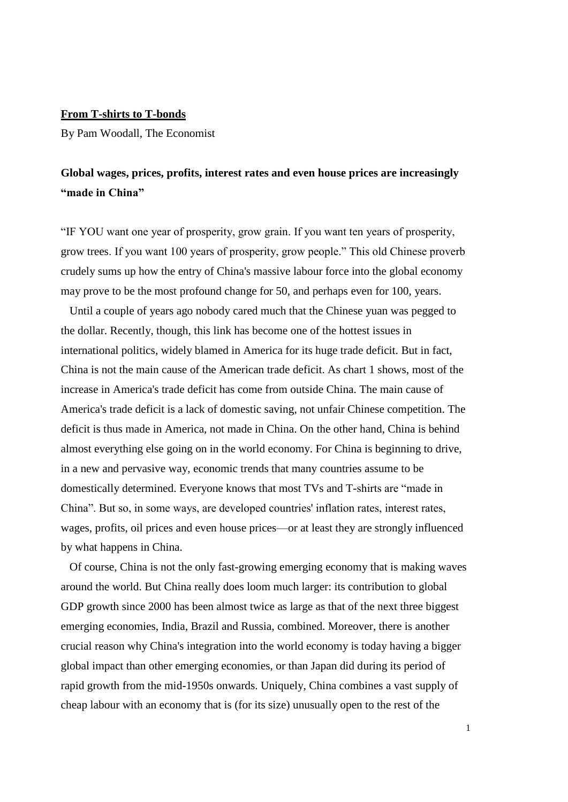## **From T-shirts to T-bonds**

By Pam Woodall, The Economist

# **Global wages, prices, profits, interest rates and even house prices are increasingly "made in China"**

"IF YOU want one year of prosperity, grow grain. If you want ten years of prosperity, grow trees. If you want 100 years of prosperity, grow people." This old Chinese proverb crudely sums up how the entry of China's massive labour force into the global economy may prove to be the most profound change for 50, and perhaps even for 100, years.

 Until a couple of years ago nobody cared much that the Chinese yuan was pegged to the dollar. Recently, though, this link has become one of the hottest issues in international politics, widely blamed in America for its huge trade deficit. But in fact, China is not the main cause of the American trade deficit. As chart 1 shows, most of the increase in America's trade deficit has come from outside China. The main cause of America's trade deficit is a lack of domestic saving, not unfair Chinese competition. The deficit is thus made in America, not made in China. On the other hand, China is behind almost everything else going on in the world economy. For China is beginning to drive, in a new and pervasive way, economic trends that many countries assume to be domestically determined. Everyone knows that most TVs and T-shirts are "made in China". But so, in some ways, are developed countries' inflation rates, interest rates, wages, profits, oil prices and even house prices—or at least they are strongly influenced by what happens in China.

 Of course, China is not the only fast-growing emerging economy that is making waves around the world. But China really does loom much larger: its contribution to global GDP growth since 2000 has been almost twice as large as that of the next three biggest emerging economies, India, Brazil and Russia, combined. Moreover, there is another crucial reason why China's integration into the world economy is today having a bigger global impact than other emerging economies, or than Japan did during its period of rapid growth from the mid-1950s onwards. Uniquely, China combines a vast supply of cheap labour with an economy that is (for its size) unusually open to the rest of the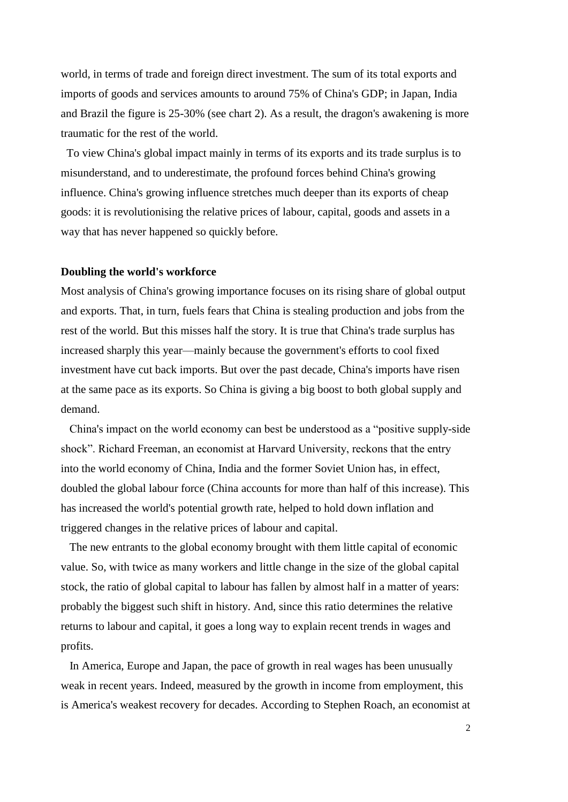world, in terms of trade and foreign direct investment. The sum of its total exports and imports of goods and services amounts to around 75% of China's GDP; in Japan, India and Brazil the figure is 25-30% (see chart 2). As a result, the dragon's awakening is more traumatic for the rest of the world.

 To view China's global impact mainly in terms of its exports and its trade surplus is to misunderstand, and to underestimate, the profound forces behind China's growing influence. China's growing influence stretches much deeper than its exports of cheap goods: it is revolutionising the relative prices of labour, capital, goods and assets in a way that has never happened so quickly before.

#### **Doubling the world's workforce**

Most analysis of China's growing importance focuses on its rising share of global output and exports. That, in turn, fuels fears that China is stealing production and jobs from the rest of the world. But this misses half the story. It is true that China's trade surplus has increased sharply this year—mainly because the government's efforts to cool fixed investment have cut back imports. But over the past decade, China's imports have risen at the same pace as its exports. So China is giving a big boost to both global supply and demand.

 China's impact on the world economy can best be understood as a "positive supply-side shock". Richard Freeman, an economist at Harvard University, reckons that the entry into the world economy of China, India and the former Soviet Union has, in effect, doubled the global labour force (China accounts for more than half of this increase). This has increased the world's potential growth rate, helped to hold down inflation and triggered changes in the relative prices of labour and capital.

 The new entrants to the global economy brought with them little capital of economic value. So, with twice as many workers and little change in the size of the global capital stock, the ratio of global capital to labour has fallen by almost half in a matter of years: probably the biggest such shift in history. And, since this ratio determines the relative returns to labour and capital, it goes a long way to explain recent trends in wages and profits.

 In America, Europe and Japan, the pace of growth in real wages has been unusually weak in recent years. Indeed, measured by the growth in income from employment, this is America's weakest recovery for decades. According to Stephen Roach, an economist at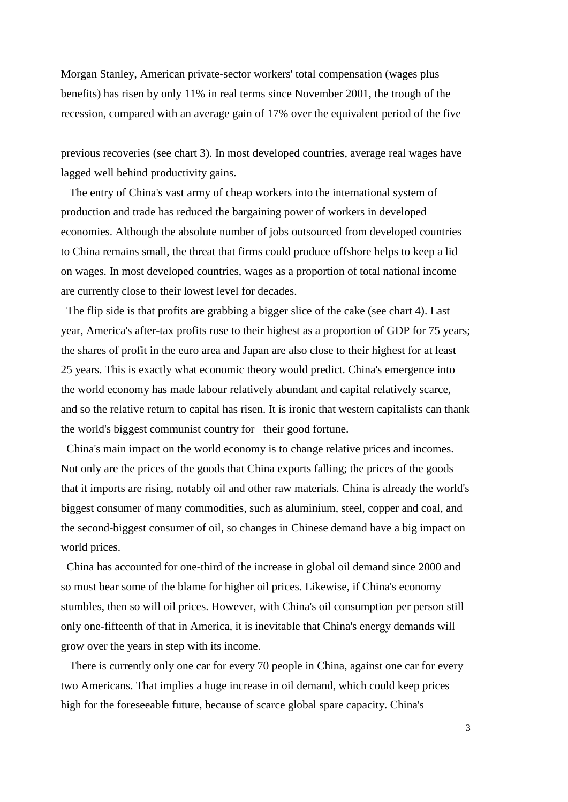Morgan Stanley, American private-sector workers' total compensation (wages plus benefits) has risen by only 11% in real terms since November 2001, the trough of the recession, compared with an average gain of 17% over the equivalent period of the five

previous recoveries (see chart 3). In most developed countries, average real wages have lagged well behind productivity gains.

 The entry of China's vast army of cheap workers into the international system of production and trade has reduced the bargaining power of workers in developed economies. Although the absolute number of jobs outsourced from developed countries to China remains small, the threat that firms could produce offshore helps to keep a lid on wages. In most developed countries, wages as a proportion of total national income are currently close to their lowest level for decades.

 The flip side is that profits are grabbing a bigger slice of the cake (see chart 4). Last year, America's after-tax profits rose to their highest as a proportion of GDP for 75 years; the shares of profit in the euro area and Japan are also close to their highest for at least 25 years. This is exactly what economic theory would predict. China's emergence into the world economy has made labour relatively abundant and capital relatively scarce, and so the relative return to capital has risen. It is ironic that western capitalists can thank the world's biggest communist country for their good fortune.

 China's main impact on the world economy is to change relative prices and incomes. Not only are the prices of the goods that China exports falling; the prices of the goods that it imports are rising, notably oil and other raw materials. China is already the world's biggest consumer of many commodities, such as aluminium, steel, copper and coal, and the second-biggest consumer of oil, so changes in Chinese demand have a big impact on world prices.

 China has accounted for one-third of the increase in global oil demand since 2000 and so must bear some of the blame for higher oil prices. Likewise, if China's economy stumbles, then so will oil prices. However, with China's oil consumption per person still only one-fifteenth of that in America, it is inevitable that China's energy demands will grow over the years in step with its income.

 There is currently only one car for every 70 people in China, against one car for every two Americans. That implies a huge increase in oil demand, which could keep prices high for the foreseeable future, because of scarce global spare capacity. China's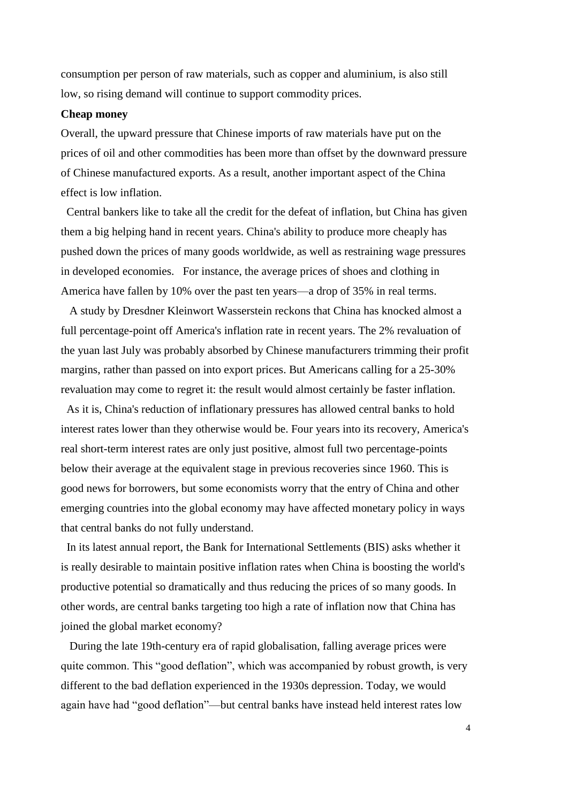consumption per person of raw materials, such as copper and aluminium, is also still low, so rising demand will continue to support commodity prices.

### **Cheap money**

Overall, the upward pressure that Chinese imports of raw materials have put on the prices of oil and other commodities has been more than offset by the downward pressure of Chinese manufactured exports. As a result, another important aspect of the China effect is low inflation.

 Central bankers like to take all the credit for the defeat of inflation, but China has given them a big helping hand in recent years. China's ability to produce more cheaply has pushed down the prices of many goods worldwide, as well as restraining wage pressures in developed economies. For instance, the average prices of shoes and clothing in America have fallen by 10% over the past ten years—a drop of 35% in real terms.

 A study by Dresdner Kleinwort Wasserstein reckons that China has knocked almost a full percentage-point off America's inflation rate in recent years. The 2% revaluation of the yuan last July was probably absorbed by Chinese manufacturers trimming their profit margins, rather than passed on into export prices. But Americans calling for a 25-30% revaluation may come to regret it: the result would almost certainly be faster inflation.

 As it is, China's reduction of inflationary pressures has allowed central banks to hold interest rates lower than they otherwise would be. Four years into its recovery, America's real short-term interest rates are only just positive, almost full two percentage-points below their average at the equivalent stage in previous recoveries since 1960. This is good news for borrowers, but some economists worry that the entry of China and other emerging countries into the global economy may have affected monetary policy in ways that central banks do not fully understand.

 In its latest annual report, the Bank for International Settlements (BIS) asks whether it is really desirable to maintain positive inflation rates when China is boosting the world's productive potential so dramatically and thus reducing the prices of so many goods. In other words, are central banks targeting too high a rate of inflation now that China has joined the global market economy?

 During the late 19th-century era of rapid globalisation, falling average prices were quite common. This "good deflation", which was accompanied by robust growth, is very different to the bad deflation experienced in the 1930s depression. Today, we would again have had "good deflation"—but central banks have instead held interest rates low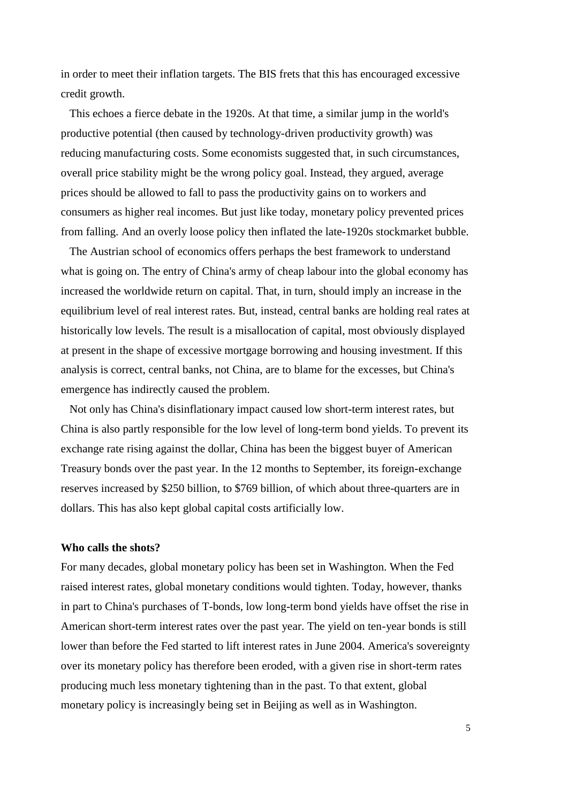in order to meet their inflation targets. The BIS frets that this has encouraged excessive credit growth.

 This echoes a fierce debate in the 1920s. At that time, a similar jump in the world's productive potential (then caused by technology-driven productivity growth) was reducing manufacturing costs. Some economists suggested that, in such circumstances, overall price stability might be the wrong policy goal. Instead, they argued, average prices should be allowed to fall to pass the productivity gains on to workers and consumers as higher real incomes. But just like today, monetary policy prevented prices from falling. And an overly loose policy then inflated the late-1920s stockmarket bubble.

 The Austrian school of economics offers perhaps the best framework to understand what is going on. The entry of China's army of cheap labour into the global economy has increased the worldwide return on capital. That, in turn, should imply an increase in the equilibrium level of real interest rates. But, instead, central banks are holding real rates at historically low levels. The result is a misallocation of capital, most obviously displayed at present in the shape of excessive mortgage borrowing and housing investment. If this analysis is correct, central banks, not China, are to blame for the excesses, but China's emergence has indirectly caused the problem.

 Not only has China's disinflationary impact caused low short-term interest rates, but China is also partly responsible for the low level of long-term bond yields. To prevent its exchange rate rising against the dollar, China has been the biggest buyer of American Treasury bonds over the past year. In the 12 months to September, its foreign-exchange reserves increased by \$250 billion, to \$769 billion, of which about three-quarters are in dollars. This has also kept global capital costs artificially low.

#### **Who calls the shots?**

For many decades, global monetary policy has been set in Washington. When the Fed raised interest rates, global monetary conditions would tighten. Today, however, thanks in part to China's purchases of T-bonds, low long-term bond yields have offset the rise in American short-term interest rates over the past year. The yield on ten-year bonds is still lower than before the Fed started to lift interest rates in June 2004. America's sovereignty over its monetary policy has therefore been eroded, with a given rise in short-term rates producing much less monetary tightening than in the past. To that extent, global monetary policy is increasingly being set in Beijing as well as in Washington.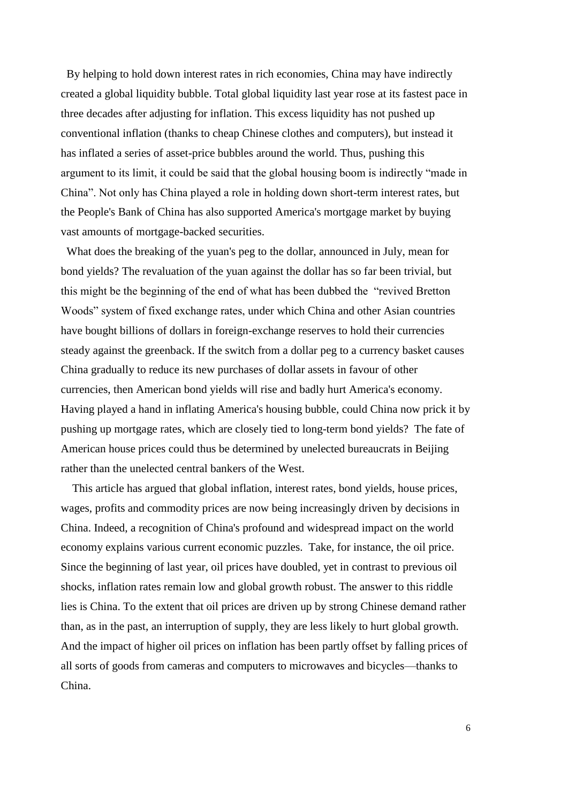By helping to hold down interest rates in rich economies, China may have indirectly created a global liquidity bubble. Total global liquidity last year rose at its fastest pace in three decades after adjusting for inflation. This excess liquidity has not pushed up conventional inflation (thanks to cheap Chinese clothes and computers), but instead it has inflated a series of asset-price bubbles around the world. Thus, pushing this argument to its limit, it could be said that the global housing boom is indirectly "made in China". Not only has China played a role in holding down short-term interest rates, but the People's Bank of China has also supported America's mortgage market by buying vast amounts of mortgage-backed securities.

 What does the breaking of the yuan's peg to the dollar, announced in July, mean for bond yields? The revaluation of the yuan against the dollar has so far been trivial, but this might be the beginning of the end of what has been dubbed the "revived Bretton Woods" system of fixed exchange rates, under which China and other Asian countries have bought billions of dollars in foreign-exchange reserves to hold their currencies steady against the greenback. If the switch from a dollar peg to a currency basket causes China gradually to reduce its new purchases of dollar assets in favour of other currencies, then American bond yields will rise and badly hurt America's economy. Having played a hand in inflating America's housing bubble, could China now prick it by pushing up mortgage rates, which are closely tied to long-term bond yields? The fate of American house prices could thus be determined by unelected bureaucrats in Beijing rather than the unelected central bankers of the West.

 This article has argued that global inflation, interest rates, bond yields, house prices, wages, profits and commodity prices are now being increasingly driven by decisions in China. Indeed, a recognition of China's profound and widespread impact on the world economy explains various current economic puzzles. Take, for instance, the oil price. Since the beginning of last year, oil prices have doubled, yet in contrast to previous oil shocks, inflation rates remain low and global growth robust. The answer to this riddle lies is China. To the extent that oil prices are driven up by strong Chinese demand rather than, as in the past, an interruption of supply, they are less likely to hurt global growth. And the impact of higher oil prices on inflation has been partly offset by falling prices of all sorts of goods from cameras and computers to microwaves and bicycles—thanks to China.